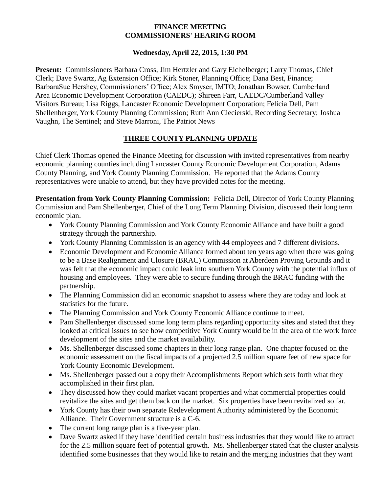## **FINANCE MEETING COMMISSIONERS' HEARING ROOM**

## **Wednesday, April 22, 2015, 1:30 PM**

**Present:** Commissioners Barbara Cross, Jim Hertzler and Gary Eichelberger; Larry Thomas, Chief Clerk; Dave Swartz, Ag Extension Office; Kirk Stoner, Planning Office; Dana Best, Finance; BarbaraSue Hershey, Commissioners' Office; Alex Smyser, IMTO; Jonathan Bowser, Cumberland Area Economic Development Corporation (CAEDC); Shireen Farr, CAEDC/Cumberland Valley Visitors Bureau; Lisa Riggs, Lancaster Economic Development Corporation; Felicia Dell, Pam Shellenberger, York County Planning Commission; Ruth Ann Ciecierski, Recording Secretary; Joshua Vaughn, The Sentinel; and Steve Marroni, The Patriot News

## **THREE COUNTY PLANNING UPDATE**

Chief Clerk Thomas opened the Finance Meeting for discussion with invited representatives from nearby economic planning counties including Lancaster County Economic Development Corporation, Adams County Planning, and York County Planning Commission. He reported that the Adams County representatives were unable to attend, but they have provided notes for the meeting.

**Presentation from York County Planning Commission:** Felicia Dell, Director of York County Planning Commission and Pam Shellenberger, Chief of the Long Term Planning Division, discussed their long term economic plan.

- York County Planning Commission and York County Economic Alliance and have built a good strategy through the partnership.
- York County Planning Commission is an agency with 44 employees and 7 different divisions.
- Economic Development and Economic Alliance formed about ten years ago when there was going to be a Base Realignment and Closure (BRAC) Commission at Aberdeen Proving Grounds and it was felt that the economic impact could leak into southern York County with the potential influx of housing and employees. They were able to secure funding through the BRAC funding with the partnership.
- The Planning Commission did an economic snapshot to assess where they are today and look at statistics for the future.
- The Planning Commission and York County Economic Alliance continue to meet.
- Pam Shellenberger discussed some long term plans regarding opportunity sites and stated that they looked at critical issues to see how competitive York County would be in the area of the work force development of the sites and the market availability.
- Ms. Shellenberger discussed some chapters in their long range plan. One chapter focused on the economic assessment on the fiscal impacts of a projected 2.5 million square feet of new space for York County Economic Development.
- Ms. Shellenberger passed out a copy their Accomplishments Report which sets forth what they accomplished in their first plan.
- They discussed how they could market vacant properties and what commercial properties could revitalize the sites and get them back on the market. Six properties have been revitalized so far.
- York County has their own separate Redevelopment Authority administered by the Economic Alliance. Their Government structure is a C-6.
- The current long range plan is a five-year plan.
- Dave Swartz asked if they have identified certain business industries that they would like to attract for the 2.5 million square feet of potential growth. Ms. Shellenberger stated that the cluster analysis identified some businesses that they would like to retain and the merging industries that they want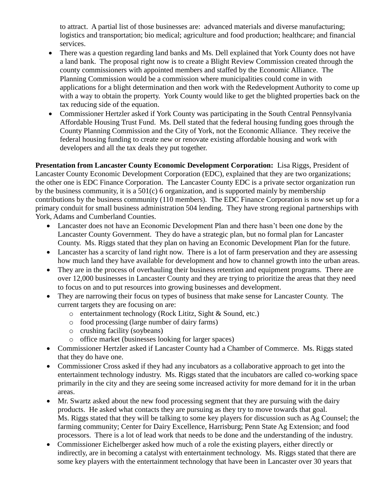to attract. A partial list of those businesses are: advanced materials and diverse manufacturing; logistics and transportation; bio medical; agriculture and food production; healthcare; and financial services.

- There was a question regarding land banks and Ms. Dell explained that York County does not have a land bank. The proposal right now is to create a Blight Review Commission created through the county commissioners with appointed members and staffed by the Economic Alliance. The Planning Commission would be a commission where municipalities could come in with applications for a blight determination and then work with the Redevelopment Authority to come up with a way to obtain the property. York County would like to get the blighted properties back on the tax reducing side of the equation.
- Commissioner Hertzler asked if York County was participating in the South Central Pennsylvania Affordable Housing Trust Fund. Ms. Dell stated that the federal housing funding goes through the County Planning Commission and the City of York, not the Economic Alliance. They receive the federal housing funding to create new or renovate existing affordable housing and work with developers and all the tax deals they put together.

**Presentation from Lancaster County Economic Development Corporation:** Lisa Riggs, President of Lancaster County Economic Development Corporation (EDC), explained that they are two organizations; the other one is EDC Finance Corporation. The Lancaster County EDC is a private sector organization run by the business community, it is a 501(c) 6 organization, and is supported mainly by membership contributions by the business community (110 members). The EDC Finance Corporation is now set up for a primary conduit for small business administration 504 lending. They have strong regional partnerships with York, Adams and Cumberland Counties.

- Lancaster does not have an Economic Development Plan and there hasn't been one done by the Lancaster County Government. They do have a strategic plan, but no formal plan for Lancaster County. Ms. Riggs stated that they plan on having an Economic Development Plan for the future.
- Lancaster has a scarcity of land right now. There is a lot of farm preservation and they are assessing how much land they have available for development and how to channel growth into the urban areas.
- They are in the process of overhauling their business retention and equipment programs. There are over 12,000 businesses in Lancaster County and they are trying to prioritize the areas that they need to focus on and to put resources into growing businesses and development.
- They are narrowing their focus on types of business that make sense for Lancaster County. The current targets they are focusing on are:
	- o entertainment technology (Rock Lititz, Sight & Sound, etc.)
	- o food processing (large number of dairy farms)
	- o crushing facility (soybeans)
	- o office market (businesses looking for larger spaces)
- Commissioner Hertzler asked if Lancaster County had a Chamber of Commerce. Ms. Riggs stated that they do have one.
- Commissioner Cross asked if they had any incubators as a collaborative approach to get into the entertainment technology industry. Ms. Riggs stated that the incubators are called co-working space primarily in the city and they are seeing some increased activity for more demand for it in the urban areas.
- Mr. Swartz asked about the new food processing segment that they are pursuing with the dairy products. He asked what contacts they are pursuing as they try to move towards that goal. Ms. Riggs stated that they will be talking to some key players for discussion such as Ag Counsel; the farming community; Center for Dairy Excellence, Harrisburg; Penn State Ag Extension; and food processors. There is a lot of lead work that needs to be done and the understanding of the industry.
- Commissioner Eichelberger asked how much of a role the existing players, either directly or indirectly, are in becoming a catalyst with entertainment technology. Ms. Riggs stated that there are some key players with the entertainment technology that have been in Lancaster over 30 years that